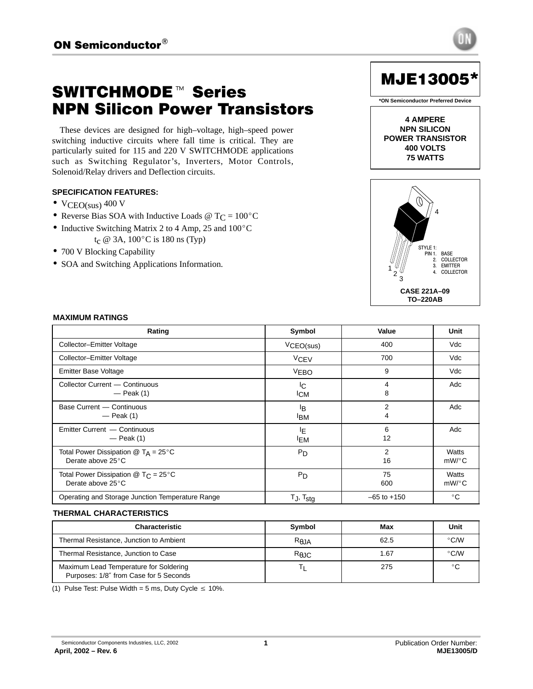# **SWITCHMODE™ Series** NPN Silicon Power Transistors

These devices are designed for high–voltage, high–speed power switching inductive circuits where fall time is critical. They are particularly suited for 115 and 220 V SWITCHMODE applications such as Switching Regulator's, Inverters, Motor Controls, Solenoid/Relay drivers and Deflection circuits.

## **SPECIFICATION FEATURES:**

- $VCEO(sus)$  400 V
- VCEO(sus) 400 V<br>• Reverse Bias SOA with Inductive Loads @  $T_C = 100^{\circ}C$
- Reverse Bias SOA with Inductive Loads  $\textcircled{r}$  T<sub>C</sub> = 100<sup>o</sup><br>• Inductive Switching Matrix 2 to 4 Amp, 25 and 100<sup>o</sup>C • Inductive Switching Matrix 2 to 4 Amp, 25 and  $100^{\circ}$ C<br>t<sub>c</sub> @ 3A,  $100^{\circ}$ C is 180 ns (Typ)
- 700 V Blocking Capability
- SOA and Switching Applications Information.



MJE13005 \*

**\*ON Semiconductor Preferred Device**



#### 

| Rating                                                                 | Symbol                       | Value                | Unit           |
|------------------------------------------------------------------------|------------------------------|----------------------|----------------|
| Collector-Emitter Voltage                                              | VCEO(sus)                    | 400                  | Vdc            |
| Collector-Emitter Voltage                                              | VCEV                         | 700                  | Vdc            |
| Emitter Base Voltage                                                   | <b>VEBO</b>                  | 9                    | Vdc            |
| Collector Current - Continuous<br>$-$ Peak (1)                         | IC.<br><b>ICM</b>            | 8                    | Adc            |
| Base Current - Continuous<br>$-$ Peak (1)                              | <sup>I</sup> B<br><b>IBM</b> | 2                    | Adc            |
| Emitter Current - Continuous<br>$-$ Peak (1)                           | ΙE<br><sup>I</sup> EM        | 6<br>12              | Adc            |
| Total Power Dissipation $@T_A = 25°C$<br>Derate above 25°C             | $P_D$                        | $\overline{2}$<br>16 | Watts<br>mW/°C |
| Total Power Dissipation $@$ T <sub>C</sub> = 25°C<br>Derate above 25°C | P <sub>D</sub>               | 75<br>600            | Watts<br>mW/°C |
| Operating and Storage Junction Temperature Range                       | $T_J$ , $T_{stg}$            | $-65$ to $+150$      | $^{\circ}$ C   |

# **THERMAL CHARACTERISTICS**

| Characteristic                                                                   | Symbol                    | Max  | Unit          |
|----------------------------------------------------------------------------------|---------------------------|------|---------------|
| Thermal Resistance, Junction to Ambient                                          | $R_{\theta, \mathrm{JA}}$ | 62.5 | $\degree$ C/W |
| Thermal Resistance, Junction to Case                                             | $R_{\theta$ JC            | 1.67 | $\degree$ C/W |
| Maximum Lead Temperature for Soldering<br>Purposes: 1/8" from Case for 5 Seconds |                           | 275  |               |

(1) Pulse Test: Pulse Width = 5 ms, Duty Cycle  $\leq 10\%$ .

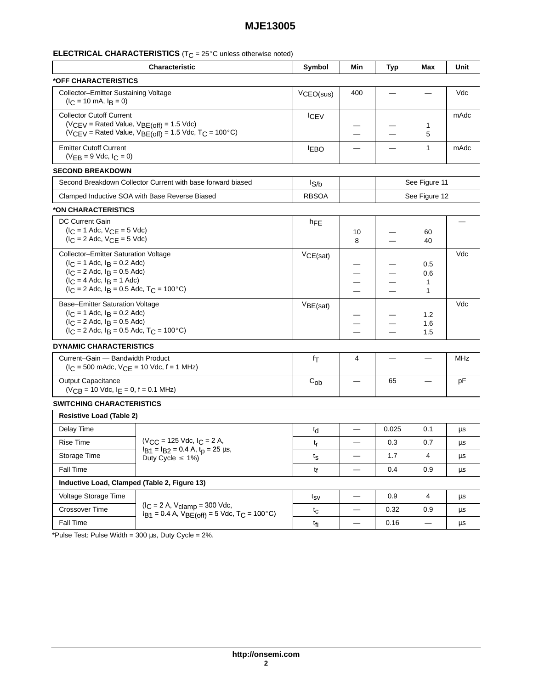#### ⊑I ⊑I I MII AT I WANMATI I WAI NI NI NI NI A II A II WA IIINIAAA AMAMINIAA MAMANI III III III III III III III I

|                                                                                                                                                                                                         | <b>Characteristic</b>                                                                                  | Symbol                       | Min                      | <b>Typ</b>    | Max                                       | Unit          |
|---------------------------------------------------------------------------------------------------------------------------------------------------------------------------------------------------------|--------------------------------------------------------------------------------------------------------|------------------------------|--------------------------|---------------|-------------------------------------------|---------------|
| *OFF CHARACTERISTICS                                                                                                                                                                                    |                                                                                                        |                              |                          |               |                                           |               |
| Collector-Emitter Sustaining Voltage<br>$(IC = 10 mA, IB = 0)$                                                                                                                                          |                                                                                                        | VCEO(sus)                    | 400                      |               |                                           | Vdc           |
| <b>Collector Cutoff Current</b><br>$(V_{CEV} =$ Rated Value, $V_{BE(off)} = 1.5$ Vdc)<br>( $VCEV$ = Rated Value, $VBE\acute{c}off$ ) = 1.5 Vdc, T <sub>C</sub> = 100°C)                                 |                                                                                                        | <b>ICEV</b>                  | —                        | —             | $\mathbf 1$<br>5                          | mAdc          |
| <b>Emitter Cutoff Current</b><br>$(VEB = 9$ Vdc, $IC = 0)$                                                                                                                                              |                                                                                                        | <b>IEBO</b>                  | $\overline{\phantom{0}}$ | —             | $\mathbf{1}$                              | mAdc          |
| <b>SECOND BREAKDOWN</b>                                                                                                                                                                                 |                                                                                                        |                              |                          |               |                                           |               |
| Second Breakdown Collector Current with base forward biased                                                                                                                                             |                                                                                                        | $I_{S/b}$                    |                          |               | See Figure 11                             |               |
| Clamped Inductive SOA with Base Reverse Biased                                                                                                                                                          |                                                                                                        | <b>RBSOA</b>                 |                          | See Figure 12 |                                           |               |
| *ON CHARACTERISTICS                                                                                                                                                                                     |                                                                                                        |                              |                          |               |                                           |               |
| DC Current Gain<br>$(I_C = 1$ Adc, $V_{CE} = 5$ Vdc)<br>$(IC = 2$ Adc, $VCE = 5$ Vdc)                                                                                                                   |                                                                                                        | hFE                          | 10<br>8                  | —             | 60<br>40                                  |               |
| Collector-Emitter Saturation Voltage<br>$(I_C = 1$ Adc, $I_B = 0.2$ Adc)<br>$(I_C = 2$ Adc, $I_B = 0.5$ Adc)<br>$(IC = 4$ Adc, $IB = 1$ Adc)<br>$(I_C = 2$ Adc, $I_B = 0.5$ Adc, $T_C = 100^{\circ}$ C) |                                                                                                        | VCE(sat)                     | --<br>—<br>-             | -<br>—        | 0.5<br>0.6<br>$\mathbf 1$<br>$\mathbf{1}$ | Vdc           |
| Base-Emitter Saturation Voltage<br>$(I_C = 1$ Adc, $I_B = 0.2$ Adc)<br>$(I_C = 2$ Adc, $I_B = 0.5$ Adc)<br>$(I_C = 2$ Adc, $I_B = 0.5$ Adc, $T_C = 100^{\circ}$ C)                                      |                                                                                                        | $V_{BE(sat)}$                | -<br>--                  | —             | 1.2<br>1.6<br>1.5                         | Vdc           |
| <b>DYNAMIC CHARACTERISTICS</b>                                                                                                                                                                          |                                                                                                        |                              |                          |               |                                           |               |
| Current-Gain - Bandwidth Product<br>$(I_C = 500 \text{ m}$ Adc, $V_{CE} = 10 \text{ Vdc}$ , f = 1 MHz)                                                                                                  |                                                                                                        | fτ                           | 4                        | —             | —                                         | <b>MHz</b>    |
| <b>Output Capacitance</b><br>$(VCB = 10$ Vdc, $I_E = 0$ , $f = 0.1$ MHz)                                                                                                                                |                                                                                                        | $C_{ob}$                     | $\overline{\phantom{0}}$ | 65            | —                                         | pF            |
| <b>SWITCHING CHARACTERISTICS</b>                                                                                                                                                                        |                                                                                                        |                              |                          |               |                                           |               |
| <b>Resistive Load (Table 2)</b>                                                                                                                                                                         |                                                                                                        |                              |                          |               |                                           |               |
| Delay Time                                                                                                                                                                                              |                                                                                                        | $t_{d}$                      |                          | 0.025         | 0.1                                       | $\mu\text{s}$ |
| Rise Time                                                                                                                                                                                               | $(V_{CC} = 125$ Vdc, $I_C = 2$ A,                                                                      | $t_{\mathsf{r}}$             | $\qquad \qquad$          | 0.3           | 0.7                                       | μs            |
| Storage Time                                                                                                                                                                                            | $I_{B1} = I_{B2} = 0.4$ A, $t_D = 25$ $\mu$ s,<br>Duty Cycle $\leq 1\%$ )                              | $t_{\scriptstyle\textrm{S}}$ | $\overline{\phantom{m}}$ | 1.7           | 4                                         | μs            |
| Fall Time                                                                                                                                                                                               |                                                                                                        | tf                           | $\qquad \qquad$          | 0.4           | 0.9                                       | $\mu$ s       |
| Inductive Load, Clamped (Table 2, Figure 13)                                                                                                                                                            |                                                                                                        |                              |                          |               |                                           |               |
| Voltage Storage Time                                                                                                                                                                                    |                                                                                                        | $t_{SV}$                     | $\overline{\phantom{m}}$ | 0.9           | 4                                         | $\mu$ s       |
| Crossover Time                                                                                                                                                                                          | $(I_C = 2 A, V_{clamp} = 300 Vdc,$<br>$I_{B1} = 0.4$ A, $V_{BE(off)} = 5$ Vdc, T <sub>C</sub> = 100°C) | $t_{\rm C}$                  | —                        | 0.32          | 0.9                                       | $\mu$ s       |
| Fall Time                                                                                                                                                                                               |                                                                                                        | t <sub>fi</sub>              | —                        | 0.16          | $\overbrace{\phantom{13333}}$             | $\mu$ s       |

 \*Pulse Test: Pulse Width = 300 µs, Duty Cycle = 2%.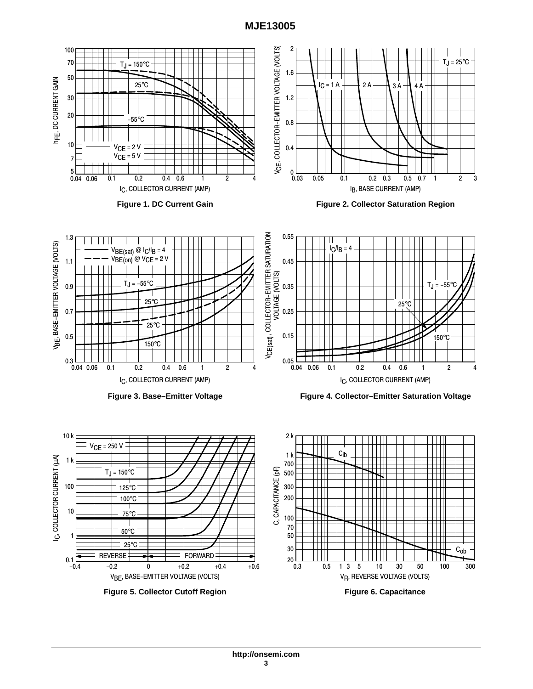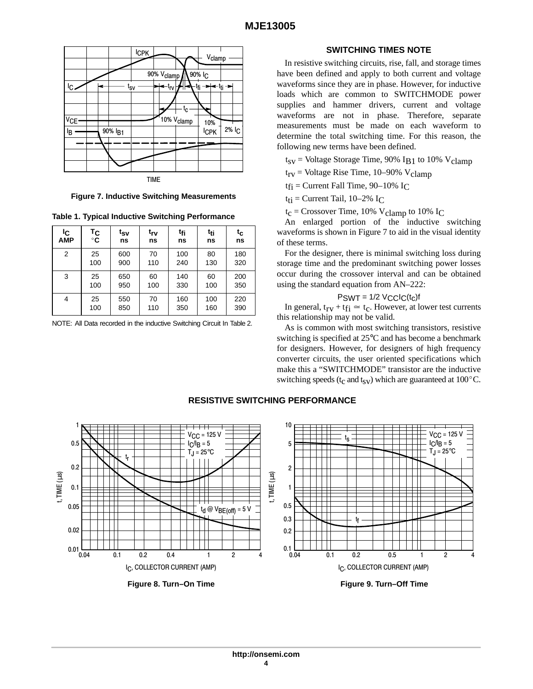

**Figure 7. Inductive Switching Measurements**

**Table 1. Typical Inductive Switching Performance**

| ΙC<br><b>AMP</b> | Тc<br>$^{\circ}$ C | t <sub>SV</sub><br>ns | trv<br>ns | t <sub>fi</sub><br>ns | t <sub>ti</sub><br>ns | $t_c$<br>ns | The changed portion of the maderite switching<br>waveforms is shown in Figure 7 to aid in the visual identity<br>of these terms. |
|------------------|--------------------|-----------------------|-----------|-----------------------|-----------------------|-------------|----------------------------------------------------------------------------------------------------------------------------------|
| $\overline{2}$   | 25<br>100          | 600<br>900            | 70<br>110 | 100<br>240            | 80<br>130             | 180<br>320  | For the designer, there is minimal switching loss during<br>storage time and the predominant switching power losses              |
| 3                | 25<br>100          | 650<br>950            | 60<br>100 | 140<br>330            | 60<br>100             | 200<br>350  | occur during the crossover interval and can be obtained<br>using the standard equation from AN-222:                              |
| 4                | 25<br>100          | 550<br>850            | 70<br>110 | 160<br>350            | 100<br>160            | 220<br>390  | $PSWT = 1/2$ $VCLC(t_c)$ f<br>In general, $t_{rv} + t_{fi} \approx t_c$ . However, at lower test currents                        |

NOTE: All Data recorded in the inductive Switching Circuit In Table 2.  $\Delta_{\alpha}$  is common with most switching

## **SWITCHING TIMES NOTE**

In resistive switching circuits, rise, fall, and storage times have been defined and apply to both current and voltage waveforms since they are in phase. However, for inductive loads which are common to SWITCHMODE power supplies and hammer drivers, current and voltage waveforms are not in phase. Therefore, separate measurements must be made on each waveform to determine the total switching time. For this reason, the following new terms have been defined.

 $t_{SV}$  = Voltage Storage Time, 90% IB1 to 10% V<sub>clamp</sub>

 $t_{rv}$  = Voltage Rise Time, 10–90% V<sub>clamp</sub>

 $t_{fi}$  = Current Fall Time, 90–10% I<sub>C</sub>

 $t_{ti}$  = Current Tail, 10–2% I<sub>C</sub>

 $t_c$  = Crossover Time, 10% V<sub>clamp</sub> to 10% I<sub>C</sub>

 $\begin{array}{c|c|c|c|c|c|c|c|c} \n\text{tr}\n\hline\n\text{tr}\n\text{ns} & \text{tr}\n\text{ns} & \text{ns} & \text{ns} & \text{ns} & \text{ns} & \text{ns} & \text{ns} & \text{ns} & \text{ns} & \text{ns} & \text{ns} & \text{ns} & \text{ns} & \text{ns} & \text{ns} & \text{ns} & \text{ns} & \text{ns} & \text{ns} & \text{ns} & \text{ns} & \text{ns} & \text{ns} & \text{ns} & \text{ns} & \text{ns} & \text{ns} & \text{ns}$ An enlarged portion of the inductive switching

$$
P_{\text{SWT}} = 1/2 \text{ V}_\text{CC} I_\text{C}(t_\text{C}) f
$$

 $\frac{1}{2}$  this relationship may not be valid.

As is common with most switching transistors, resistive switching is specified at 25°C and has become a benchmark for designers. However, for designers of high frequency converter circuits, the user oriented specifications which make this a "SWITCHMODE" transistor are the inductive switching speeds ( $t_c$  and  $t_{sV}$ ) which are guaranteed at 100 $^{\circ}$ C.

# **RESISTIVE SWITCHING PERFORMANCE**



**Figure 9. Turn–Off Time**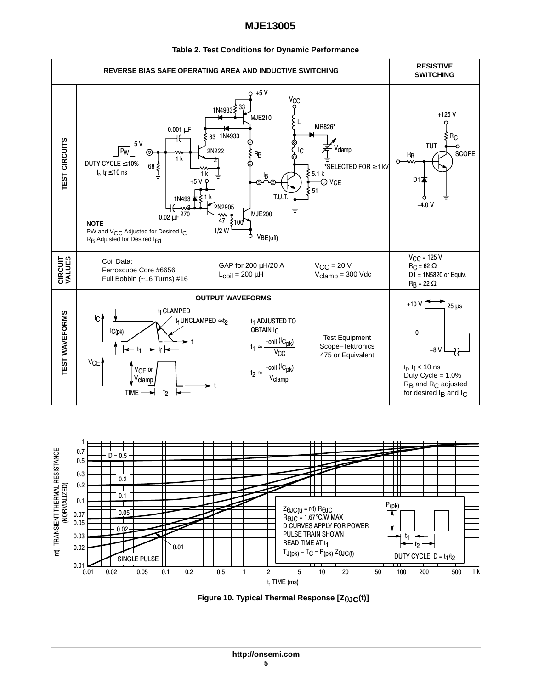

#### **Table 2. Test Conditions for Dynamic Performance**



**Figure 10. Typical Thermal Response [Z**θ**JC(t)]**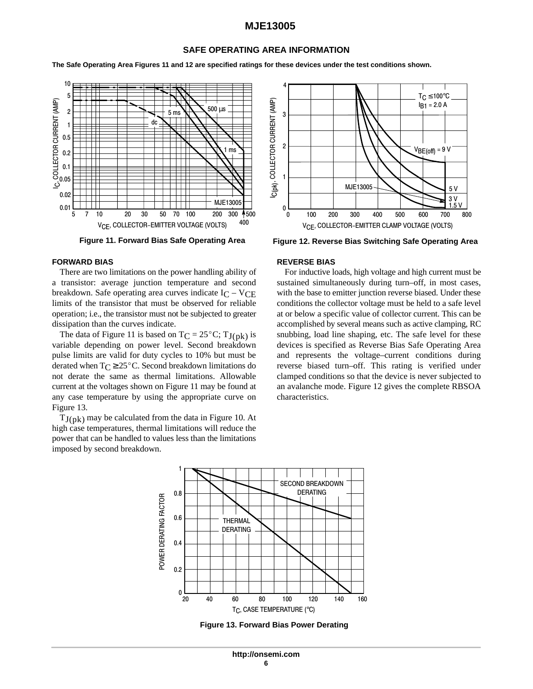#### **SAFE OPERATING AREA INFORMATION**

**The Safe Operating Area Figures 11 and 12 are specified ratings for these devices under the test conditions shown.**



#### **FORWARD BIAS**

There are two limitations on the power handling ability of a transistor: average junction temperature and second breakdown. Safe operating area curves indicate  $I_C - V_{CE}$ limits of the transistor that must be observed for reliable operation; i.e., the transistor must not be subjected to greater dissipation than the curves indicate.

The data of Figure 11 is based on  $TC = 25^{\circ}C$ ;  $TJ(pk)$  is variable depending on power level. Second breakdown pulse limits are valid for duty cycles to 10% but must be derated when  $T_C \geq 25^{\circ}$ C. Second breakdown limitations do not derate the same as thermal limitations. Allowable current at the voltages shown on Figure 11 may be found at any case temperature by using the appropriate curve on Figure 13.

 $T_{J(nk)}$  may be calculated from the data in Figure 10. At high case temperatures, thermal limitations will reduce the power that can be handled to values less than the limitations imposed by second breakdown.



**Figure 11. Forward Bias Safe Operating Area Figure 12. Reverse Bias Switching Safe Operating Area**

#### **REVERSE BIAS**

For inductive loads, high voltage and high current must be sustained simultaneously during turn–off, in most cases, with the base to emitter junction reverse biased. Under these conditions the collector voltage must be held to a safe level at or below a specific value of collector current. This can be accomplished by several means such as active clamping, RC snubbing, load line shaping, etc. The safe level for these devices is specified as Reverse Bias Safe Operating Area and represents the voltage–current conditions during reverse biased turn–off. This rating is verified under clamped conditions so that the device is never subjected to an avalanche mode. Figure 12 gives the complete RBSOA characteristics.



**Figure 13. Forward Bias Power Derating**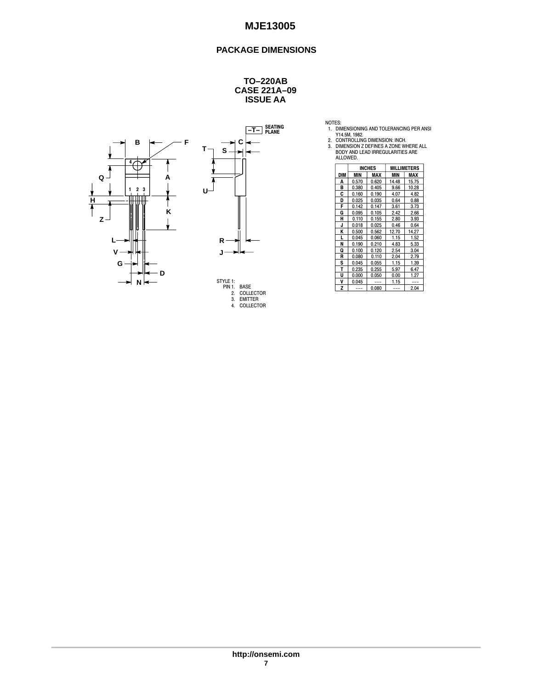## **PACKAGE DIMENSIONS**

#### **CASE 221A–09 ISSUE AA TO–220AB**











|            |            | <b>INCHES</b> | <b>MILLIMETERS</b> |       |  |  |
|------------|------------|---------------|--------------------|-------|--|--|
| <b>DIM</b> | MAX<br>MIN |               | MIN                | MAX   |  |  |
| Α          | 0.570      | 0.620         | 14.48              | 15.75 |  |  |
| B          | 0.380      | 0.405         | 9.66               | 10.28 |  |  |
| C          | 0.160      | 0.190         | 4.07               | 4.82  |  |  |
| D          | 0.025      | 0.035         | 0.64               | 0.88  |  |  |
| F          | 0.142      | 0.147         | 3.61               | 3.73  |  |  |
| G          | 0.095      | 0.105         | 2.42               | 2.66  |  |  |
| н          | 0.110      | 0.155         | 2.80               | 3.93  |  |  |
| J          | 0.018      | 0.025         | 0.46               | 0.64  |  |  |
| K          | 0.500      | 0.562         | 12.70              | 14.27 |  |  |
| L          | 0.045      | 0.060         | 1.15               | 1.52  |  |  |
| N          | 0.190      | 0.210         | 4.83               | 5.33  |  |  |
| Q          | 0.100      | 0.120         | 2.54               | 3.04  |  |  |
| R          | 0.080      | 0.110         | 2.04               | 2.79  |  |  |
| s          | 0.045      | 0.055         | 1.15               | 1.39  |  |  |
| т          | 0.235      | 0.255         | 5.97               | 6.47  |  |  |
| U          | 0.000      | 0.050         | 0.00               | 1.27  |  |  |
| V          | 0.045      |               | 1.15               |       |  |  |
| Z          |            | 0.080         |                    | 2.04  |  |  |